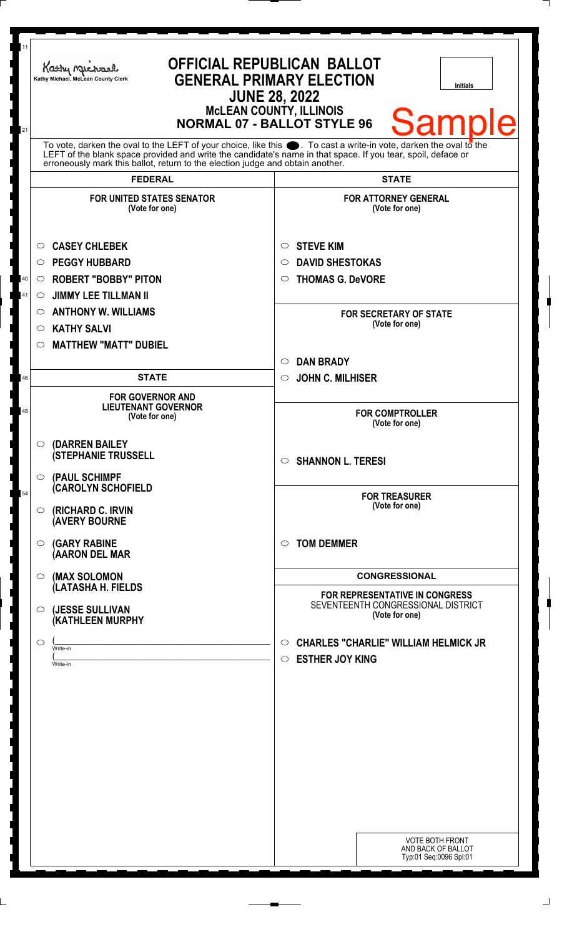| 11<br>21 | <b>OFFICIAL REPUBLICAN BALLOT</b><br>Kathy Machael<br><b>GENERAL PRIMARY ELECTION</b><br>Kathy Michael, McLean County Clerk<br><b>Initials</b><br><b>JUNE 28, 2022</b><br><b>McLEAN COUNTY, ILLINOIS</b><br><b>Sample</b><br><b>NORMAL 07 - BALLOT STYLE 96</b>                                                        |                                                                                        |  |
|----------|------------------------------------------------------------------------------------------------------------------------------------------------------------------------------------------------------------------------------------------------------------------------------------------------------------------------|----------------------------------------------------------------------------------------|--|
|          | To vote, darken the oval to the LEFT of your choice, like this $\bullet$ . To cast a write-in vote, darken the oval to the LEFT of the blank space provided and write the candidate's name in that space. If you tear, spoil, deface<br>erroneously mark this ballot, return to the election judge and obtain another. |                                                                                        |  |
|          | <b>FEDERAL</b>                                                                                                                                                                                                                                                                                                         | <b>STATE</b>                                                                           |  |
|          | <b>FOR UNITED STATES SENATOR</b><br>(Vote for one)                                                                                                                                                                                                                                                                     | <b>FOR ATTORNEY GENERAL</b><br>(Vote for one)                                          |  |
|          | <b>CASEY CHLEBEK</b><br>$\circ$                                                                                                                                                                                                                                                                                        | <b>STEVE KIM</b><br>$\circ$                                                            |  |
|          | <b>PEGGY HUBBARD</b><br>$\circ$                                                                                                                                                                                                                                                                                        | <b>DAVID SHESTOKAS</b><br>$\circ$                                                      |  |
| 40       | <b>ROBERT "BOBBY" PITON</b><br>$\circ$                                                                                                                                                                                                                                                                                 | <b>THOMAS G. DeVORE</b><br>$\circ$                                                     |  |
| 41       | <b>JIMMY LEE TILLMAN II</b><br>$\circ$                                                                                                                                                                                                                                                                                 |                                                                                        |  |
|          | <b>ANTHONY W. WILLIAMS</b><br>$\circ$                                                                                                                                                                                                                                                                                  | <b>FOR SECRETARY OF STATE</b>                                                          |  |
|          | <b>KATHY SALVI</b><br>O                                                                                                                                                                                                                                                                                                | (Vote for one)                                                                         |  |
|          | <b>MATTHEW "MATT" DUBIEL</b><br>◯                                                                                                                                                                                                                                                                                      |                                                                                        |  |
|          | <b>STATE</b>                                                                                                                                                                                                                                                                                                           | <b>DAN BRADY</b><br>$\circ$                                                            |  |
| 46       |                                                                                                                                                                                                                                                                                                                        | <b>JOHN C. MILHISER</b><br>$\circ$                                                     |  |
| 48       | <b>FOR GOVERNOR AND</b><br><b>LIEUTENANT GOVERNOR</b><br>(Vote for one)                                                                                                                                                                                                                                                | <b>FOR COMPTROLLER</b><br>(Vote for one)                                               |  |
|          | (DARREN BAILEY<br>$\circ$<br><b>(STEPHANIE TRUSSELL</b>                                                                                                                                                                                                                                                                | $\circ$ SHANNON L. TERESI                                                              |  |
| 54       | $\circ$ (PAUL SCHIMPF<br><b>CAROLYN SCHOFIELD</b><br>(RICHARD C. IRVIN<br>$\circ$<br><b>(AVERY BOURNE</b>                                                                                                                                                                                                              | <b>FOR TREASURER</b><br>(Vote for one)                                                 |  |
|          | <b>(GARY RABINE</b><br>O<br>(AARON DEL MAR                                                                                                                                                                                                                                                                             | <b>TOM DEMMER</b><br>$\circ$                                                           |  |
|          | (MAX SOLOMON<br>$\circ$                                                                                                                                                                                                                                                                                                | <b>CONGRESSIONAL</b>                                                                   |  |
|          | (LATASHA H. FIELDS<br>(JESSE SULLIVAN<br>$\circ$<br>(KATHLEEN MURPHY                                                                                                                                                                                                                                                   | FOR REPRESENTATIVE IN CONGRESS<br>SEVENTEENTH CONGRESSIONAL DISTRICT<br>(Vote for one) |  |
|          | O<br>Write-in<br>Write-in                                                                                                                                                                                                                                                                                              | <b>CHARLES "CHARLIE" WILLIAM HELMICK JR</b><br>O<br><b>ESTHER JOY KING</b><br>O        |  |
|          |                                                                                                                                                                                                                                                                                                                        | <b>VOTE BOTH FRONT</b><br>AND BACK OF BALLOT<br>Typ:01 Seq:0096 Spl:01                 |  |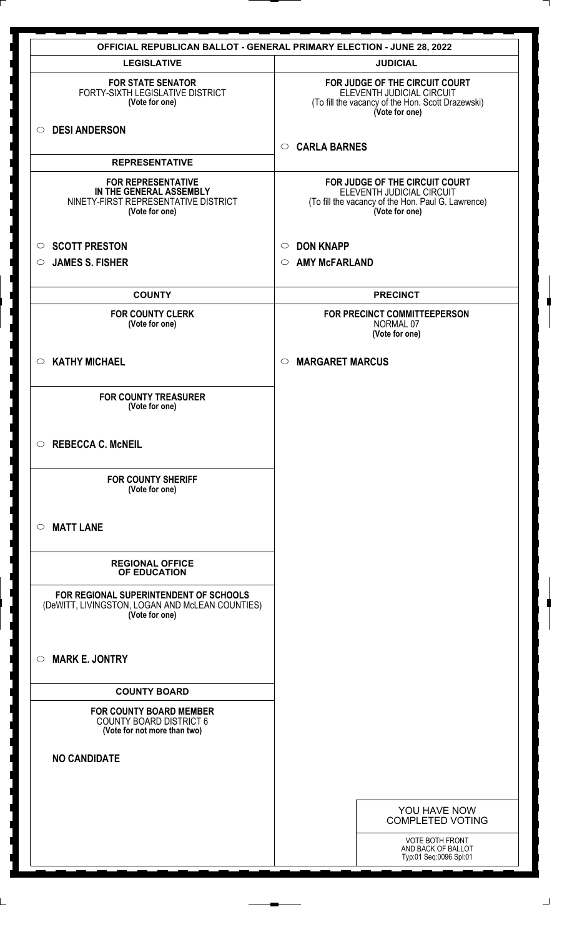|                                                                                                                | <b>OFFICIAL REPUBLICAN BALLOT - GENERAL PRIMARY ELECTION - JUNE 28, 2022</b>                                                        |  |
|----------------------------------------------------------------------------------------------------------------|-------------------------------------------------------------------------------------------------------------------------------------|--|
| <b>LEGISLATIVE</b>                                                                                             | <b>JUDICIAL</b>                                                                                                                     |  |
| <b>FOR STATE SENATOR</b><br>FORTY-SIXTH LEGISLATIVE DISTRICT<br>(Vote for one)                                 | FOR JUDGE OF THE CIRCUIT COURT<br>ELEVENTH JUDICIAL CIRCUIT<br>(To fill the vacancy of the Hon. Scott Drazewski)<br>(Vote for one)  |  |
| <b>DESI ANDERSON</b><br>$\circ$                                                                                | <b>CARLA BARNES</b><br>$\circ$                                                                                                      |  |
| <b>REPRESENTATIVE</b>                                                                                          |                                                                                                                                     |  |
| <b>FOR REPRESENTATIVE</b><br>IN THE GENERAL ASSEMBLY<br>NINETY-FIRST REPRESENTATIVE DISTRICT<br>(Vote for one) | FOR JUDGE OF THE CIRCUIT COURT<br>ELEVENTH JUDICIAL CIRCUIT<br>(To fill the vacancy of the Hon. Paul G. Lawrence)<br>(Vote for one) |  |
| <b>SCOTT PRESTON</b><br>$\circ$                                                                                | <b>DON KNAPP</b><br>$\circ$                                                                                                         |  |
| <b>JAMES S. FISHER</b><br>◯                                                                                    | <b>AMY McFARLAND</b><br>$\circ$                                                                                                     |  |
| <b>COUNTY</b>                                                                                                  | <b>PRECINCT</b>                                                                                                                     |  |
| <b>FOR COUNTY CLERK</b><br>(Vote for one)                                                                      | FOR PRECINCT COMMITTEEPERSON<br>NORMAL 07<br>(Vote for one)                                                                         |  |
| <b>KATHY MICHAEL</b><br>$\circ$                                                                                | <b>MARGARET MARCUS</b><br>$\circ$                                                                                                   |  |
| <b>FOR COUNTY TREASURER</b><br>(Vote for one)                                                                  |                                                                                                                                     |  |
| <b>REBECCA C. McNEIL</b><br>$\circ$                                                                            |                                                                                                                                     |  |
| <b>FOR COUNTY SHERIFF</b><br>(Vote for one)                                                                    |                                                                                                                                     |  |
| <b>MATT LANE</b><br>$\bigcirc$                                                                                 |                                                                                                                                     |  |
| <b>REGIONAL OFFICE</b><br>OF EDUCATION                                                                         |                                                                                                                                     |  |
| FOR REGIONAL SUPERINTENDENT OF SCHOOLS<br>(DeWITT, LIVINGSTON, LOGAN AND McLEAN COUNTIES)<br>(Vote for one)    |                                                                                                                                     |  |
| <b>MARK E. JONTRY</b><br>$\circ$                                                                               |                                                                                                                                     |  |
| <b>COUNTY BOARD</b>                                                                                            |                                                                                                                                     |  |
| <b>FOR COUNTY BOARD MEMBER</b><br><b>COUNTY BOARD DISTRICT 6</b><br>(Vote for not more than two)               |                                                                                                                                     |  |
| <b>NO CANDIDATE</b>                                                                                            |                                                                                                                                     |  |
|                                                                                                                |                                                                                                                                     |  |
|                                                                                                                | YOU HAVE NOW<br><b>COMPLETED VOTING</b>                                                                                             |  |
|                                                                                                                | <b>VOTE BOTH FRONT</b><br>AND BACK OF BALLOT<br>Typ:01 Seq:0096 Spl:01                                                              |  |

 $\perp$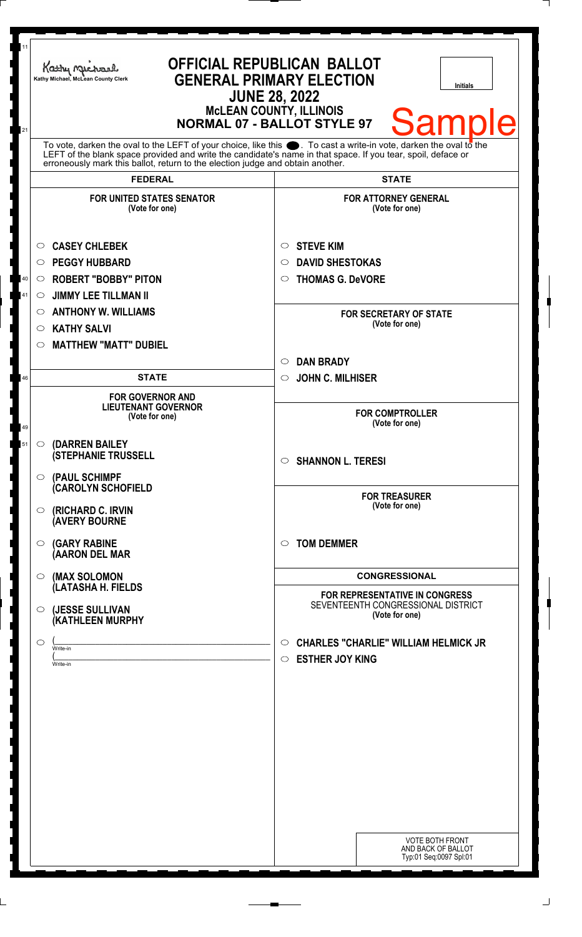| <b>OFFICIAL REPUBLICAN BALLOT</b><br>Kathy Michael<br><b>GENERAL PRIMARY ELECTION</b><br>Kathy Michael, McLean County Clerk<br><b>Initials</b><br><b>JUNE 28, 2022</b><br><b>McLEAN COUNTY, ILLINOIS</b><br>Sample<br><b>NORMAL 07 - BALLOT STYLE 97</b> |                                                                                                                                                                                                                                                                                                                        |                                                                                               |  |
|----------------------------------------------------------------------------------------------------------------------------------------------------------------------------------------------------------------------------------------------------------|------------------------------------------------------------------------------------------------------------------------------------------------------------------------------------------------------------------------------------------------------------------------------------------------------------------------|-----------------------------------------------------------------------------------------------|--|
|                                                                                                                                                                                                                                                          | To vote, darken the oval to the LEFT of your choice, like this $\bullet$ . To cast a write-in vote, darken the oval to the LEFT of the blank space provided and write the candidate's name in that space. If you tear, spoil, deface<br>erroneously mark this ballot, return to the election judge and obtain another. |                                                                                               |  |
| <b>FEDERAL</b>                                                                                                                                                                                                                                           |                                                                                                                                                                                                                                                                                                                        | <b>STATE</b>                                                                                  |  |
| <b>FOR UNITED STATES SENATOR</b><br>(Vote for one)                                                                                                                                                                                                       |                                                                                                                                                                                                                                                                                                                        | <b>FOR ATTORNEY GENERAL</b><br>(Vote for one)                                                 |  |
| <b>CASEY CHLEBEK</b><br>$\circ$                                                                                                                                                                                                                          | <b>STEVE KIM</b><br>$\circ$                                                                                                                                                                                                                                                                                            |                                                                                               |  |
| <b>PEGGY HUBBARD</b><br>$\circ$                                                                                                                                                                                                                          | $\circ$                                                                                                                                                                                                                                                                                                                | <b>DAVID SHESTOKAS</b>                                                                        |  |
| <b>ROBERT "BOBBY" PITON</b><br>$40\,$<br>$\circ$                                                                                                                                                                                                         | $\circ$                                                                                                                                                                                                                                                                                                                | <b>THOMAS G. DeVORE</b>                                                                       |  |
| 41<br><b>JIMMY LEE TILLMAN II</b><br>$\circlearrowright$                                                                                                                                                                                                 |                                                                                                                                                                                                                                                                                                                        |                                                                                               |  |
| <b>ANTHONY W. WILLIAMS</b><br>$\circ$                                                                                                                                                                                                                    |                                                                                                                                                                                                                                                                                                                        | <b>FOR SECRETARY OF STATE</b>                                                                 |  |
| <b>KATHY SALVI</b><br>O                                                                                                                                                                                                                                  |                                                                                                                                                                                                                                                                                                                        | (Vote for one)                                                                                |  |
| <b>MATTHEW "MATT" DUBIEL</b><br>◯                                                                                                                                                                                                                        |                                                                                                                                                                                                                                                                                                                        |                                                                                               |  |
|                                                                                                                                                                                                                                                          | <b>DAN BRADY</b><br>$\circ$                                                                                                                                                                                                                                                                                            |                                                                                               |  |
| <b>STATE</b><br>46                                                                                                                                                                                                                                       | $\circ$                                                                                                                                                                                                                                                                                                                | <b>JOHN C. MILHISER</b>                                                                       |  |
| <b>FOR GOVERNOR AND</b><br><b>LIEUTENANT GOVERNOR</b><br>(Vote for one)<br>49                                                                                                                                                                            |                                                                                                                                                                                                                                                                                                                        | <b>FOR COMPTROLLER</b><br>(Vote for one)                                                      |  |
| (DARREN BAILEY<br>51<br>$\circ$<br><b>(STEPHANIE TRUSSELL</b><br>O (PAUL SCHIMPF                                                                                                                                                                         |                                                                                                                                                                                                                                                                                                                        | $\circ$ SHANNON L. TERESI                                                                     |  |
| <b>CAROLYN SCHOFIELD</b><br>(RICHARD C. IRVIN<br>$\circ$<br><b>(AVERY BOURNE</b>                                                                                                                                                                         |                                                                                                                                                                                                                                                                                                                        | <b>FOR TREASURER</b><br>(Vote for one)                                                        |  |
| <b>(GARY RABINE</b><br>$\circ$<br>(AARON DEL MAR                                                                                                                                                                                                         | <b>TOM DEMMER</b><br>$\circ$                                                                                                                                                                                                                                                                                           |                                                                                               |  |
| (MAX SOLOMON<br>$\circ$                                                                                                                                                                                                                                  |                                                                                                                                                                                                                                                                                                                        | <b>CONGRESSIONAL</b>                                                                          |  |
| (LATASHA H. FIELDS<br>(JESSE SULLIVAN<br>$\circ$<br>(KATHLEEN MURPHY                                                                                                                                                                                     |                                                                                                                                                                                                                                                                                                                        | <b>FOR REPRESENTATIVE IN CONGRESS</b><br>SEVENTEENTH CONGRESSIONAL DISTRICT<br>(Vote for one) |  |
| $\circ$<br>Write-in<br>Write-in                                                                                                                                                                                                                          | $\circ$<br>$\circ$                                                                                                                                                                                                                                                                                                     | <b>CHARLES "CHARLIE" WILLIAM HELMICK JR</b><br><b>ESTHER JOY KING</b>                         |  |
|                                                                                                                                                                                                                                                          |                                                                                                                                                                                                                                                                                                                        | <b>VOTE BOTH FRONT</b><br>AND BACK OF BALLOT<br>Typ:01 Seq:0097 Spl:01                        |  |